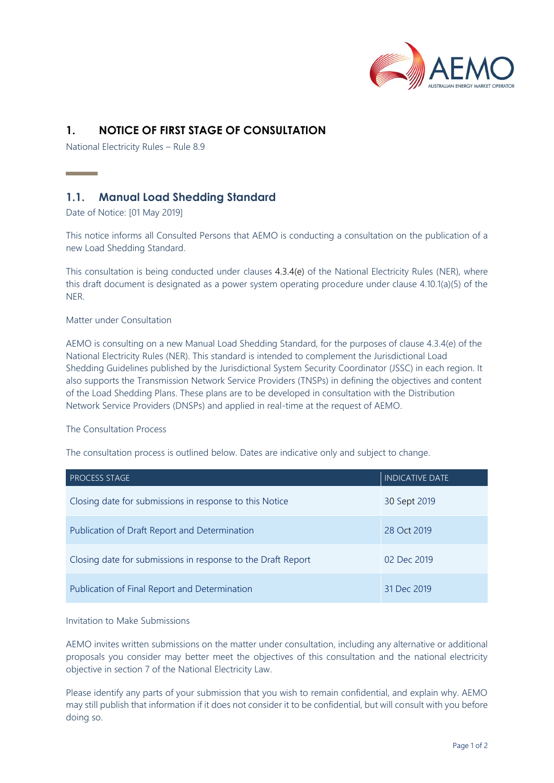

# **1. NOTICE OF FIRST STAGE OF CONSULTATION**

National Electricity Rules – Rule 8.9

## **1.1. Manual Load Shedding Standard**

Date of Notice: [01 May 2019]

**Contract Contract Contract** 

This notice informs all Consulted Persons that AEMO is conducting a consultation on the publication of a new Load Shedding Standard.

This consultation is being conducted under clauses 4.3.4(e) of the National Electricity Rules (NER), where this draft document is designated as a power system operating procedure under clause 4.10.1(a)(5) of the NER.

### Matter under Consultation

AEMO is consulting on a new Manual Load Shedding Standard, for the purposes of clause 4.3.4(e) of the National Electricity Rules (NER). This standard is intended to complement the Jurisdictional Load Shedding Guidelines published by the Jurisdictional System Security Coordinator (JSSC) in each region. It also supports the Transmission Network Service Providers (TNSPs) in defining the objectives and content of the Load Shedding Plans. These plans are to be developed in consultation with the Distribution Network Service Providers (DNSPs) and applied in real-time at the request of AEMO.

#### The Consultation Process

The consultation process is outlined below. Dates are indicative only and subject to change.

| <b>PROCESS STAGE</b>                                         | <b>INDICATIVE DATE</b> |
|--------------------------------------------------------------|------------------------|
| Closing date for submissions in response to this Notice      | 30 Sept 2019           |
| Publication of Draft Report and Determination                | 28 Oct 2019            |
| Closing date for submissions in response to the Draft Report | 02 Dec 2019            |
| Publication of Final Report and Determination                | 31 Dec 2019            |

#### Invitation to Make Submissions

AEMO invites written submissions on the matter under consultation, including any alternative or additional proposals you consider may better meet the objectives of this consultation and the national electricity objective in section 7 of the National Electricity Law.

Please identify any parts of your submission that you wish to remain confidential, and explain why. AEMO may still publish that information if it does not consider it to be confidential, but will consult with you before doing so.